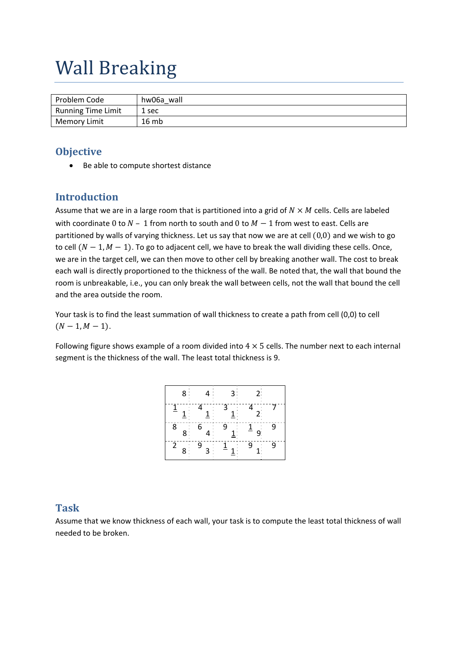# Wall Breaking

| Problem Code       | hw06a wall |
|--------------------|------------|
| Running Time Limit | 1 sec      |
| Memory Limit       | 16 mb      |

## **Objective**

• Be able to compute shortest distance

## **Introduction**

Assume that we are in a large room that is partitioned into a grid of  $N \times M$  cells. Cells are labeled with coordinate 0 to  $N-1$  from north to south and 0 to  $M-1$  from west to east. Cells are partitioned by walls of varying thickness. Let us say that now we are at cell  $(0,0)$  and we wish to go to cell  $(N - 1, M - 1)$ . To go to adjacent cell, we have to break the wall dividing these cells. Once, we are in the target cell, we can then move to other cell by breaking another wall. The cost to break each wall is directly proportioned to the thickness of the wall. Be noted that, the wall that bound the room is unbreakable, i.e., you can only break the wall between cells, not the wall that bound the cell and the area outside the room.

Your task is to find the least summation of wall thickness to create a path from cell (0,0) to cell  $(N-1, M-1).$ 

Following figure shows example of a room divided into  $4 \times 5$  cells. The number next to each internal segment is the thickness of the wall. The least total thickness is 9.

| 8:                               |                               | 3:                                                      | $2^{\circ}$                         |   |
|----------------------------------|-------------------------------|---------------------------------------------------------|-------------------------------------|---|
| $\overline{1}$<br>$\mathbf{1}$   | 4<br>$\underline{\mathbf{1}}$ | $\overline{3}$<br>$\underline{\textbf{1}}$ :            | $\overline{4}$<br>$2^{\frac{1}{2}}$ |   |
| 8<br>8 <sub>1</sub>              | 6                             | 9<br>$\underline{\textbf{1}}^{\mathbb{I}}_{\mathbb{I}}$ | $\overline{1}$<br>$\overline{9}$    | 9 |
| $\overline{2}$<br>8 <sup>1</sup> | 9<br>$3^{\circ}$              | $\overline{1}$                                          | 9                                   | 9 |

### **Task**

Assume that we know thickness of each wall, your task is to compute the least total thickness of wall needed to be broken.